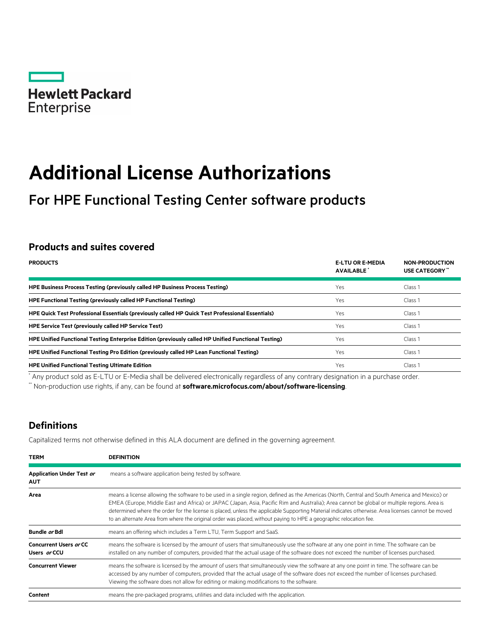

# **Additional License Authorizations**

# For HPE Functional Testing Center software products

# **Products and suites covered**

| <b>PRODUCTS</b>                                                                                     | <b>E-LTU OR E-MEDIA</b><br><b>AVAILABLE</b> | <b>NON-PRODUCTION</b><br>USE CATEGORY" |
|-----------------------------------------------------------------------------------------------------|---------------------------------------------|----------------------------------------|
| HPE Business Process Testing (previously called HP Business Process Testing)                        | Yes                                         | Class <sub>1</sub>                     |
| <b>HPE Functional Testing (previously called HP Functional Testing)</b>                             | Yes                                         | Class 1                                |
| HPE Quick Test Professional Essentials (previously called HP Quick Test Professional Essentials)    | Yes                                         | Class <sub>1</sub>                     |
| <b>HPE Service Test (previously called HP Service Test)</b>                                         | Yes                                         | Class 1                                |
| HPE Unified Functional Testing Enterprise Edition (previously called HP Unified Functional Testing) | Yes                                         | Class <sub>1</sub>                     |
| HPE Unified Functional Testing Pro Edition (previously called HP Lean Functional Testing)           | Yes                                         | Class 1                                |
| <b>HPE Unified Functional Testing Ultimate Edition</b>                                              | Yes                                         | Class 1                                |

\* Any product sold as E-LTU or E-Media shall be delivered electronically regardless of any contrary designation in a purchase order.

\*\* Non-production use rights, if any, can be found at **[software.microfocus.com/about/software-licensing](https://software.microfocus.com/about/software-licensing)**.

# **Definitions**

Capitalized terms not otherwise defined in this ALA document are defined in the governing agreement.

| <b>TERM</b>                                    | <b>DEFINITION</b>                                                                                                                                                                                                                                                                                                                                                                                                                                                                                                                                                       |
|------------------------------------------------|-------------------------------------------------------------------------------------------------------------------------------------------------------------------------------------------------------------------------------------------------------------------------------------------------------------------------------------------------------------------------------------------------------------------------------------------------------------------------------------------------------------------------------------------------------------------------|
| <b>Application Under Test or</b><br><b>AUT</b> | means a software application being tested by software.                                                                                                                                                                                                                                                                                                                                                                                                                                                                                                                  |
| Area                                           | means a license allowing the software to be used in a single region, defined as the Americas (North, Central and South America and Mexico) or<br>EMEA (Europe, Middle East and Africa) or JAPAC (Japan, Asia, Pacific Rim and Australia); Area cannot be global or multiple regions. Area is<br>determined where the order for the license is placed, unless the applicable Supporting Material indicates otherwise. Area licenses cannot be moved<br>to an alternate Area from where the original order was placed, without paying to HPE a geographic relocation fee. |
| Bundle or Bdl                                  | means an offering which includes a Term LTU, Term Support and SaaS.                                                                                                                                                                                                                                                                                                                                                                                                                                                                                                     |
| <b>Concurrent Users or CC</b><br>Users or CCU  | means the software is licensed by the amount of users that simultaneously use the software at any one point in time. The software can be<br>installed on any number of computers, provided that the actual usage of the software does not exceed the number of licenses purchased.                                                                                                                                                                                                                                                                                      |
| <b>Concurrent Viewer</b>                       | means the software is licensed by the amount of users that simultaneously view the software at any one point in time. The software can be<br>accessed by any number of computers, provided that the actual usage of the software does not exceed the number of licenses purchased.<br>Viewing the software does not allow for editing or making modifications to the software.                                                                                                                                                                                          |
| Content                                        | means the pre-packaged programs, utilities and data included with the application.                                                                                                                                                                                                                                                                                                                                                                                                                                                                                      |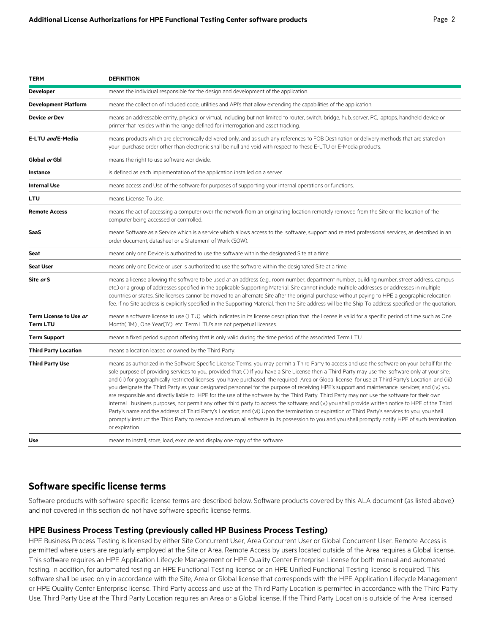| <b>TERM</b>                               | <b>DEFINITION</b>                                                                                                                                                                                                                                                                                                                                                                                                                                                                                                                                                                                                                                                                                                                                                                                                                                                                                                                                                                                                                                                                                                                                                                                                                             |
|-------------------------------------------|-----------------------------------------------------------------------------------------------------------------------------------------------------------------------------------------------------------------------------------------------------------------------------------------------------------------------------------------------------------------------------------------------------------------------------------------------------------------------------------------------------------------------------------------------------------------------------------------------------------------------------------------------------------------------------------------------------------------------------------------------------------------------------------------------------------------------------------------------------------------------------------------------------------------------------------------------------------------------------------------------------------------------------------------------------------------------------------------------------------------------------------------------------------------------------------------------------------------------------------------------|
| <b>Developer</b>                          | means the individual responsible for the design and development of the application.                                                                                                                                                                                                                                                                                                                                                                                                                                                                                                                                                                                                                                                                                                                                                                                                                                                                                                                                                                                                                                                                                                                                                           |
| <b>Development Platform</b>               | means the collection of included code, utilities and API's that allow extending the capabilities of the application.                                                                                                                                                                                                                                                                                                                                                                                                                                                                                                                                                                                                                                                                                                                                                                                                                                                                                                                                                                                                                                                                                                                          |
| Device or Dev                             | means an addressable entity, physical or virtual, including but not limited to router, switch, bridge, hub, server, PC, laptops, handheld device or<br>printer that resides within the range defined for interrogation and asset tracking.                                                                                                                                                                                                                                                                                                                                                                                                                                                                                                                                                                                                                                                                                                                                                                                                                                                                                                                                                                                                    |
| E-LTU and E-Media                         | means products which are electronically delivered only, and as such any references to FOB Destination or delivery methods that are stated on<br>your purchase order other than electronic shall be null and void with respect to these E-LTU or E-Media products.                                                                                                                                                                                                                                                                                                                                                                                                                                                                                                                                                                                                                                                                                                                                                                                                                                                                                                                                                                             |
| Global or Gbl                             | means the right to use software worldwide.                                                                                                                                                                                                                                                                                                                                                                                                                                                                                                                                                                                                                                                                                                                                                                                                                                                                                                                                                                                                                                                                                                                                                                                                    |
| <b>Instance</b>                           | is defined as each implementation of the application installed on a server.                                                                                                                                                                                                                                                                                                                                                                                                                                                                                                                                                                                                                                                                                                                                                                                                                                                                                                                                                                                                                                                                                                                                                                   |
| <b>Internal Use</b>                       | means access and Use of the software for purposes of supporting your internal operations or functions.                                                                                                                                                                                                                                                                                                                                                                                                                                                                                                                                                                                                                                                                                                                                                                                                                                                                                                                                                                                                                                                                                                                                        |
| LTU                                       | means License To Use.                                                                                                                                                                                                                                                                                                                                                                                                                                                                                                                                                                                                                                                                                                                                                                                                                                                                                                                                                                                                                                                                                                                                                                                                                         |
| <b>Remote Access</b>                      | means the act of accessing a computer over the network from an originating location remotely removed from the Site or the location of the<br>computer being accessed or controlled.                                                                                                                                                                                                                                                                                                                                                                                                                                                                                                                                                                                                                                                                                                                                                                                                                                                                                                                                                                                                                                                           |
| SaaS                                      | means Software as a Service which is a service which allows access to the software, support and related professional services, as described in an<br>order document, datasheet or a Statement of Work (SOW).                                                                                                                                                                                                                                                                                                                                                                                                                                                                                                                                                                                                                                                                                                                                                                                                                                                                                                                                                                                                                                  |
| Seat                                      | means only one Device is authorized to use the software within the designated Site at a time.                                                                                                                                                                                                                                                                                                                                                                                                                                                                                                                                                                                                                                                                                                                                                                                                                                                                                                                                                                                                                                                                                                                                                 |
| <b>Seat User</b>                          | means only one Device or user is authorized to use the software within the designated Site at a time.                                                                                                                                                                                                                                                                                                                                                                                                                                                                                                                                                                                                                                                                                                                                                                                                                                                                                                                                                                                                                                                                                                                                         |
| Site or S                                 | means a license allowing the software to be used at an address (e.g., room number, department number, building number, street address, campus<br>etc.) or a group of addresses specified in the applicable Supporting Material. Site cannot include multiple addresses or addresses in multiple<br>countries or states. Site licenses cannot be moved to an alternate Site after the original purchase without paying to HPE a geographic relocation<br>fee. If no Site address is explicitly specified in the Supporting Material, then the Site address will be the Ship To address specified on the quotation.                                                                                                                                                                                                                                                                                                                                                                                                                                                                                                                                                                                                                             |
| Term License to Use or<br><b>Term LTU</b> | means a software license to use (LTU) which indicates in its license description that the license is valid for a specific period of time such as One<br>Month(1M), One Year(1Y) etc. Term LTU's are not perpetual licenses.                                                                                                                                                                                                                                                                                                                                                                                                                                                                                                                                                                                                                                                                                                                                                                                                                                                                                                                                                                                                                   |
| <b>Term Support</b>                       | means a fixed period support offering that is only valid during the time period of the associated Term LTU.                                                                                                                                                                                                                                                                                                                                                                                                                                                                                                                                                                                                                                                                                                                                                                                                                                                                                                                                                                                                                                                                                                                                   |
| <b>Third Party Location</b>               | means a location leased or owned by the Third Party.                                                                                                                                                                                                                                                                                                                                                                                                                                                                                                                                                                                                                                                                                                                                                                                                                                                                                                                                                                                                                                                                                                                                                                                          |
| <b>Third Party Use</b>                    | means as authorized in the Software Specific License Terms, you may permit a Third Party to access and use the software on your behalf for the<br>sole purpose of providing services to you, provided that; (i) If you have a Site License then a Third Party may use the software only at your site;<br>and (ii) for geographically restricted licenses you have purchased the required Area or Global license for use at Third Party's Location; and (iii)<br>you designate the Third Party as your designated personnel for the purpose of receiving HPE's support and maintenance services; and (iv) you<br>are responsible and directly liable to HPE for the use of the software by the Third Party. Third Party may not use the software for their own<br>internal business purposes, nor permit any other third party to access the software; and (v) you shall provide written notice to HPE of the Third<br>Party's name and the address of Third Party's Location; and (vi) Upon the termination or expiration of Third Party's services to you, you shall<br>promptly instruct the Third Party to remove and return all software in its possession to you and you shall promptly notify HPE of such termination<br>or expiration. |
| Use                                       | means to install, store, load, execute and display one copy of the software.                                                                                                                                                                                                                                                                                                                                                                                                                                                                                                                                                                                                                                                                                                                                                                                                                                                                                                                                                                                                                                                                                                                                                                  |

# **Software specific license terms**

Software products with software specific license terms are described below. Software products covered by this ALA document (as listed above) and not covered in this section do not have software specific license terms.

#### **HPE Business Process Testing (previously called HP Business Process Testing)**

HPE Business Process Testing is licensed by either Site Concurrent User, Area Concurrent User or Global Concurrent User. Remote Access is permitted where users are regularly employed at the Site or Area. Remote Access by users located outside of the Area requires a Global license. This software requires an HPE Application Lifecycle Management or HPE Quality Center Enterprise License for both manual and automated testing. In addition, for automated testing an HPE Functional Testing license or an HPE Unified Functional Testing license is required. This software shall be used only in accordance with the Site, Area or Global license that corresponds with the HPE Application Lifecycle Management or HPE Quality Center Enterprise license. Third Party access and use at the Third Party Location is permitted in accordance with the Third Party Use. Third Party Use at the Third Party Location requires an Area or a Global license. If the Third Party Location is outside of the Area licensed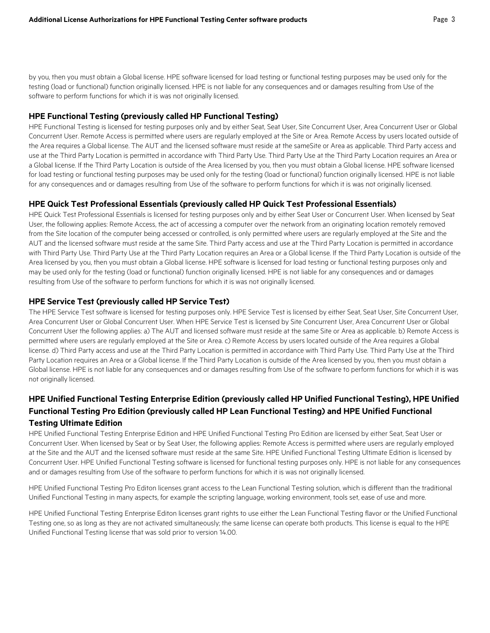by you, then you must obtain a Global license. HPE software licensed for load testing or functional testing purposes may be used only for the testing (load or functional) function originally licensed. HPE is not liable for any consequences and or damages resulting from Use of the software to perform functions for which it is was not originally licensed.

#### **HPE Functional Testing (previously called HP Functional Testing)**

HPE Functional Testing is licensed for testing purposes only and by either Seat, Seat User, Site Concurrent User, Area Concurrent User or Global Concurrent User. Remote Access is permitted where users are regularly employed at the Site or Area. Remote Access by users located outside of the Area requires a Global license. The AUT and the licensed software must reside at the sameSite or Area as applicable. Third Party access and use at the Third Party Location is permitted in accordance with Third Party Use. Third Party Use at the Third Party Location requires an Area or a Global license. If the Third Party Location is outside of the Area licensed by you, then you must obtain a Global license. HPE software licensed for load testing or functional testing purposes may be used only for the testing (load or functional) function originally licensed. HPE is not liable for any consequences and or damages resulting from Use of the software to perform functions for which it is was not originally licensed.

#### **HPE Quick Test Professional Essentials (previously called HP Quick Test Professional Essentials)**

HPE Quick Test Professional Essentials is licensed for testing purposes only and by either Seat User or Concurrent User. When licensed by Seat User, the following applies: Remote Access, the act of accessing a computer over the network from an originating location remotely removed from the Site location of the computer being accessed or controlled, is only permitted where users are regularly employed at the Site and the AUT and the licensed software must reside at the same Site. Third Party access and use at the Third Party Location is permitted in accordance with Third Party Use. Third Party Use at the Third Party Location requires an Area or a Global license. If the Third Party Location is outside of the Area licensed by you, then you must obtain a Global license. HPE software is licensed for load testing or functional testing purposes only and may be used only for the testing (load or functional) function originally licensed. HPE is not liable for any consequences and or damages resulting from Use of the software to perform functions for which it is was not originally licensed.

#### **HPE Service Test (previously called HP Service Test)**

The HPE Service Test software is licensed for testing purposes only. HPE Service Test is licensed by either Seat, Seat User, Site Concurrent User, Area Concurrent User or Global Concurrent User. When HPE Service Test is licensed by Site Concurrent User, Area Concurrent User or Global Concurrent User the following applies: a) The AUT and licensed software must reside at the same Site or Area as applicable. b) Remote Access is permitted where users are regularly employed at the Site or Area. c) Remote Access by users located outside of the Area requires a Global license. d) Third Party access and use at the Third Party Location is permitted in accordance with Third Party Use. Third Party Use at the Third Party Location requires an Area or a Global license. If the Third Party Location is outside of the Area licensed by you, then you must obtain a Global license. HPE is not liable for any consequences and or damages resulting from Use of the software to perform functions for which it is was not originally licensed.

### **HPE Unified Functional Testing Enterprise Edition (previously called HP Unified Functional Testing), HPE Unified Functional Testing Pro Edition (previously called HP Lean Functional Testing) and HPE Unified Functional Testing Ultimate Edition**

HPE Unified Functional Testing Enterprise Edition and HPE Unified Functional Testing Pro Edition are licensed by either Seat, Seat User or Concurrent User. When licensed by Seat or by Seat User, the following applies: Remote Access is permitted where users are regularly employed at the Site and the AUT and the licensed software must reside at the same Site. HPE Unified Functional Testing Ultimate Edition is licensed by Concurrent User. HPE Unified Functional Testing software is licensed for functional testing purposes only. HPE is not liable for any consequences and or damages resulting from Use of the software to perform functions for which it is was not originally licensed.

HPE Unified Functional Testing Pro Editon licenses grant access to the Lean Functional Testing solution, which is different than the traditional Unified Functional Testing in many aspects, for example the scripting language, working environment, tools set, ease of use and more.

HPE Unified Functional Testing Enterprise Editon licenses grant rights to use either the Lean Functional Testing flavor or the Unified Functional Testing one, so as long as they are not activated simultaneously; the same license can operate both products. This license is equal to the HPE Unified Functional Testing license that was sold prior to version 14.00.